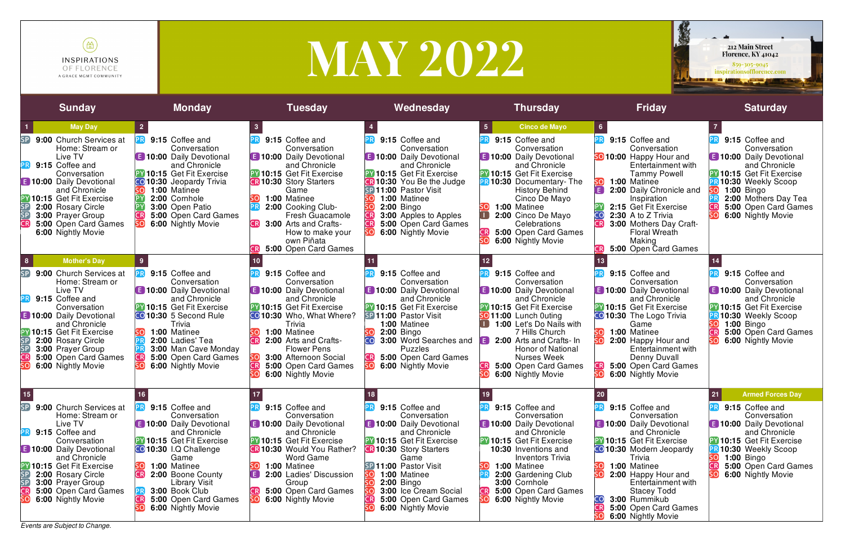

# MAY 2022

*Events are Subject to Change.*



| <b>Sunday</b>                                                                                                                                                                                                                                                                                                                                                                                                                                                                                                                                                                                                                                                                                  | <b>Monday</b>                                                                                                                                                                                                                                                                                                                                                                                                                                                                                                                                         | <b>Tuesday</b>                                                                                                                                                                                                                                                                                                                                                                                                                                                                                                                                                                                                                           | Wednesday                                                                                                                                                                                                                                                                                                                                                                                                                                                                                                                                                                            | <b>Thursday</b>                                                                                                                                                                                                                                                                                                                                                                                                                                                                                                                                                                                                                                                                         | <b>Friday</b>                                                                                                                                                                                                                                                                                                                                                                                                                                                                                                                                                                                                           | <b>Saturday</b>                                                                                                                                                                                                                                                                                                                                                                                                                                     |
|------------------------------------------------------------------------------------------------------------------------------------------------------------------------------------------------------------------------------------------------------------------------------------------------------------------------------------------------------------------------------------------------------------------------------------------------------------------------------------------------------------------------------------------------------------------------------------------------------------------------------------------------------------------------------------------------|-------------------------------------------------------------------------------------------------------------------------------------------------------------------------------------------------------------------------------------------------------------------------------------------------------------------------------------------------------------------------------------------------------------------------------------------------------------------------------------------------------------------------------------------------------|------------------------------------------------------------------------------------------------------------------------------------------------------------------------------------------------------------------------------------------------------------------------------------------------------------------------------------------------------------------------------------------------------------------------------------------------------------------------------------------------------------------------------------------------------------------------------------------------------------------------------------------|--------------------------------------------------------------------------------------------------------------------------------------------------------------------------------------------------------------------------------------------------------------------------------------------------------------------------------------------------------------------------------------------------------------------------------------------------------------------------------------------------------------------------------------------------------------------------------------|-----------------------------------------------------------------------------------------------------------------------------------------------------------------------------------------------------------------------------------------------------------------------------------------------------------------------------------------------------------------------------------------------------------------------------------------------------------------------------------------------------------------------------------------------------------------------------------------------------------------------------------------------------------------------------------------|-------------------------------------------------------------------------------------------------------------------------------------------------------------------------------------------------------------------------------------------------------------------------------------------------------------------------------------------------------------------------------------------------------------------------------------------------------------------------------------------------------------------------------------------------------------------------------------------------------------------------|-----------------------------------------------------------------------------------------------------------------------------------------------------------------------------------------------------------------------------------------------------------------------------------------------------------------------------------------------------------------------------------------------------------------------------------------------------|
| <b>May Day</b><br>SP<br>9:00 Church Services at<br>Home: Stream or<br>Live TV<br>9:15 Coffee and<br>РR<br>Conversation<br><b>E 10:00 Daily Devotional</b><br>and Chronicle<br><b>PY 10:15 Get Fit Exercise</b><br>SP<br>SP<br>SP<br>R<br>2:00 Rosary Circle<br>3:00 Prayer Group<br>5:00 Open Card Games<br>6:00 Nightly Movie<br><b>Mother's Day</b><br>8 <sup>1</sup><br>SP<br>9:00 Church Services at<br>Home: Stream or<br>Live TV<br>9:15 Coffee and<br>PR<br>Conversation<br><b>E</b> 10:00 Daily Devotional<br>and Chronicle<br><b>PY 10:15 Get Fit Exercise</b><br>SP<br>SP<br>SP<br>SP<br>2:00 Rosary Circle<br>3:00 Prayer Group<br>5:00 Open Card Games<br>SC<br>6:00 Nightly Movie | $\mathbf{2}$<br>9:15 Coffee and<br>Conversation<br><b>B</b> 10:00 Daily Devotional<br>and Chronicle<br><b>PY 10:15 Get Fit Exercise</b><br><b>CO</b> 10:30 Jeopardy Trivia<br>1:00 Matinee<br>2:00 Cornhole<br>3:00 Open Patio<br>5:00 Open Card Games<br>6:00 Nightly Movie<br>9:15 Coffee and<br>Conversation<br><b>B</b> 10:00 Daily Devotional<br>and Chronicle<br><b>PY 10:15 Get Fit Exercise</b><br>CO 10:30 5 Second Rule<br>Trivia<br>1:00 Matinee<br>2:00 Ladies' Tea<br>3:00 Man Cave Monday<br>5:00 Open Card Games<br>6:00 Nightly Movie | 9:15 Coffee and<br>Conversation<br><b>E 10:00 Daily Devotional</b><br>and Chronicle<br><b>PY 10:15 Get Fit Exercise</b><br><b>CR 10:30 Story Starters</b><br>Game<br>1:00 Matinee<br>2:00 Cooking Club-<br><b>Fresh Guacamole</b><br><b>CR</b><br>3:00 Arts and Crafts-<br>How to make your<br>own Piñata<br>5:00 Open Card Games<br>9:15 Coffee and<br>Conversation<br><b>E 10:00 Daily Devotional</b><br>and Chronicle<br><b>27 10:15 Get Fit Exercise</b><br>CO10:30 Who, What Where?<br>Trivia<br>1:00 Matinee<br>2:00 Arts and Crafts-<br><b>Flower Pens</b><br>3:00 Afternoon Social<br>5:00 Open Card Games<br>6:00 Nightly Movie | 9:15 Coffee and<br>Conversation<br><b>B</b> 10:00 Daily Devotional<br>and Chronicle<br><b>PY 10:15 Get Fit Exercise</b><br><b>R</b> 10:30 You Be the Judge<br>SP 11:00 Pastor Visit<br>1:00 Matinee<br>$2:00$ Bingo<br>3:00 Apples to Apples<br>ĆŔ<br>5:00 Open Card Games<br>6:00 Nightly Movie<br>9:15 Coffee and<br>Conversation<br><b>B</b> 10:00 Daily Devotional<br>and Chronicle<br><b>PY 10:15 Get Fit Exercise</b><br>SP 11:00 Pastor Visit<br>1:00 Matinee<br>$2:00$ Bingo<br>CO<br>3:00 Word Searches and<br><b>Puzzles</b><br>5:00 Open Card Games<br>6:00 Nightly Movie | <b>Cinco de Mayo</b><br>9:15 Coffee and<br>Conversation<br><b>B</b> 10:00 Daily Devotional<br>and Chronicle<br><b>PY 10:15 Get Fit Exercise</b><br><b>PR 10:30 Documentary-The</b><br><b>History Behind</b><br>Cinco De Mayo<br>1:00 Matinee<br>2:00 Cinco De Mayo<br>Celebrations<br>5:00 Open Card Games<br>6:00 Nightly Movie<br>9:15 Coffee and<br>Conversation<br><b>E</b> 10:00 Daily Devotional<br>and Chronicle<br><b>PY 10:15 Get Fit Exercise</b><br><b>SO 11:00</b> Lunch Outing<br>1:00 Let's Do Nails with<br>7 Hills Church<br>2:00 Arts and Crafts- In<br>$\blacksquare$<br><b>Honor of National</b><br><b>Nurses Week</b><br>5:00 Open Card Games<br>6:00 Nightly Movie | 6<br>9:15 Coffee and<br>Conversation<br><b>SO 10:00 Happy Hour and</b><br>Entertainment with<br><b>Tammy Powell</b><br>1:00 Matinee<br>O<br>2:00 Daily Chronicle and<br>Inspiration<br>2:15 Get Fit Exercise<br>2:30 A to Z Trivia<br>3:00 Mothers Day Craft-<br><b>Floral Wreath</b><br>Making<br>5:00 Open Card Games<br>9:15 Coffee and<br>Conversation<br><b>B</b> 10:00 Daily Devotional<br>and Chronicle<br><b>27 10:15 Get Fit Exercise</b><br>CO 10:30 The Logo Trivia<br>Game<br>1:00 Matinee<br>2:00 Happy Hour and<br>Entertainment with<br>Denny Duvall<br>5:00 Open Card Games<br>SO<br>6:00 Nightly Movie | 9:15 Coffee and<br>Conversation<br><b>B</b> 10:00 Daily Devotional<br>and Chronicle<br><b>PY 10:15 Get Fit Exercise</b><br>10:30 Weekly Scoop<br><b>1:00 Bingo</b><br>2:00 Mothers Day Tea<br>5:00 Open Card Games<br>6:00 Nightly Movie<br>9:15 Coffee and<br>Conversation<br>10:00 Daily Devotional<br>and Chronicle<br><b>PY 10:15 Get Fit Exercise</b><br>10:30 Weekly Scoop<br><b>1:00 Bingo</b><br>5:00 Open Card Games<br>6:00 Nightly Movie |
| SP<br>9:00 Church Services at<br>Home: Stream or<br>Live TV<br>9:15 Coffee and<br>РR<br>Conversation<br><b>E</b> 10:00 Daily Devotional<br>and Chronicle<br><b>PY 10:15 Get Fit Exercise</b><br><b>BLACS</b><br>2:00 Rosary Circle<br>3:00 Prayer Group<br>5:00 Open Card Games<br>6:00 Nightly Movie                                                                                                                                                                                                                                                                                                                                                                                          | 9:15 Coffee and<br>Conversation<br><b>E</b> 10:00 Daily Devotional<br>and Chronicle<br><b>PY 10:15 Get Fit Exercise</b><br>CO 10:30 I.Q Challenge<br>Game<br>1:00 Matinee<br>SO<br>2:00 Boone County<br><b>Library Visit</b><br>3:00 Book Club<br><b>CR</b><br>5:00 Open Card Games<br>6:00 Nightly Movie                                                                                                                                                                                                                                             | 9:15 Coffee and<br>Conversation<br><b>B</b> 10:00 Daily Devotional<br>and Chronicle<br><b>PY 10:15 Get Fit Exercise</b><br><b>CR 10:30 Would You Rather?</b><br><b>Word Game</b><br>1:00 Matinee<br>$\left( \begin{array}{c} \mathsf{E} \end{array} \right)$<br>2:00 Ladies' Discussion<br>Group<br>5:00 Open Card Games<br>6:00 Nightly Movie<br>SO                                                                                                                                                                                                                                                                                     | 9:15 Coffee and<br>Conversation<br><b>E</b> 10:00 Daily Devotional<br>and Chronicle<br><b>PY 10:15 Get Fit Exercise</b><br><b>B</b> 10:30 Story Starters<br>Game<br>SP 11:00 Pastor Visit<br>1:00 Matinee<br><b>2:00 Bingo</b><br>3:00 Ice Cream Social<br>CR<br>5:00 Open Card Games<br>6:00 Nightly Movie                                                                                                                                                                                                                                                                          | 9:15 Coffee and<br>Conversation<br><b>E 10:00 Daily Devotional</b><br>and Chronicle<br><b>PY 10:15 Get Fit Exercise</b><br>10:30 Inventions and<br><b>Inventors Trivia</b><br>1:00 Matinee<br>2:00 Gardening Club<br>3:00 Cornhole<br>5:00 Open Card Games<br>CRI<br>6:00 Nightly Movie                                                                                                                                                                                                                                                                                                                                                                                                 | 9:15 Coffee and<br>Conversation<br><b>E 10:00 Daily Devotional</b><br>and Chronicle<br><b>PY 10:15 Get Fit Exercise</b><br><b>CO</b> 10:30 Modern Jeopardy<br>Trivia<br>1:00 Matinee<br>2:00 Happy Hour and<br>Entertainment with<br><b>Stacey Todd</b><br>3:00 Rummikub<br>CO<br>5:00 Open Card Games<br>6:00 Nightly Movie                                                                                                                                                                                                                                                                                            | <b>Armed Forces Day</b><br>21<br>9:15 Coffee and<br>Conversation<br>10:00 Daily Devotional<br>and Chronicle<br><b>PY 10:15 Get Fit Exercise</b><br>10:30 Weekly Scoop<br>$1:00$ Bingo<br>5:00 Open Card Games<br>CR<br>6:00 Nightly Movie                                                                                                                                                                                                           |